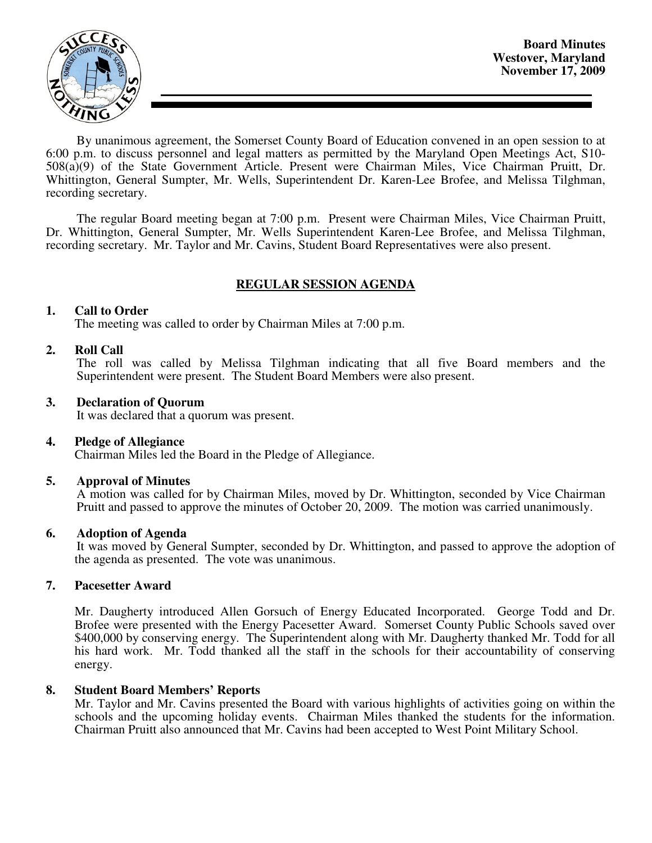

By unanimous agreement, the Somerset County Board of Education convened in an open session to at 6:00 p.m. to discuss personnel and legal matters as permitted by the Maryland Open Meetings Act, S10- 508(a)(9) of the State Government Article. Present were Chairman Miles, Vice Chairman Pruitt, Dr. Whittington, General Sumpter, Mr. Wells, Superintendent Dr. Karen-Lee Brofee, and Melissa Tilghman, recording secretary.

The regular Board meeting began at 7:00 p.m. Present were Chairman Miles, Vice Chairman Pruitt, Dr. Whittington, General Sumpter, Mr. Wells Superintendent Karen-Lee Brofee, and Melissa Tilghman, recording secretary. Mr. Taylor and Mr. Cavins, Student Board Representatives were also present.

# **REGULAR SESSION AGENDA**

## **1. Call to Order**

The meeting was called to order by Chairman Miles at 7:00 p.m.

## **2. Roll Call**

The roll was called by Melissa Tilghman indicating that all five Board members and the Superintendent were present. The Student Board Members were also present.

### **3. Declaration of Quorum**

It was declared that a quorum was present.

### **4. Pledge of Allegiance**

Chairman Miles led the Board in the Pledge of Allegiance.

### **5. Approval of Minutes**

 A motion was called for by Chairman Miles, moved by Dr. Whittington, seconded by Vice Chairman Pruitt and passed to approve the minutes of October 20, 2009. The motion was carried unanimously.

### **6. Adoption of Agenda**

 It was moved by General Sumpter, seconded by Dr. Whittington, and passed to approve the adoption of the agenda as presented. The vote was unanimous.

### **7. Pacesetter Award**

Mr. Daugherty introduced Allen Gorsuch of Energy Educated Incorporated. George Todd and Dr. Brofee were presented with the Energy Pacesetter Award. Somerset County Public Schools saved over \$400,000 by conserving energy. The Superintendent along with Mr. Daugherty thanked Mr. Todd for all his hard work. Mr. Todd thanked all the staff in the schools for their accountability of conserving energy.

### **8. Student Board Members' Reports**

Mr. Taylor and Mr. Cavins presented the Board with various highlights of activities going on within the schools and the upcoming holiday events. Chairman Miles thanked the students for the information. Chairman Pruitt also announced that Mr. Cavins had been accepted to West Point Military School.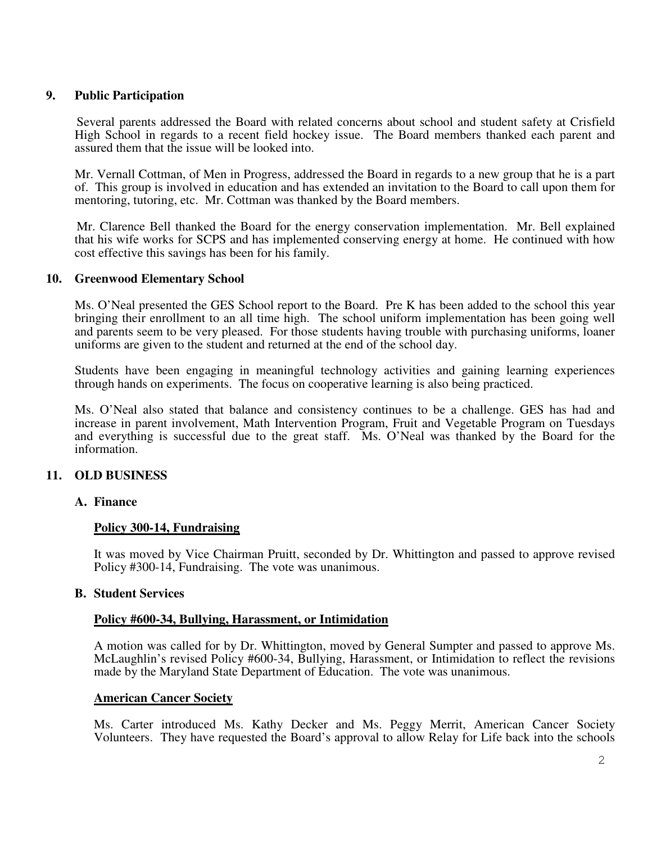# **9. Public Participation**

 Several parents addressed the Board with related concerns about school and student safety at Crisfield High School in regards to a recent field hockey issue. The Board members thanked each parent and assured them that the issue will be looked into.

Mr. Vernall Cottman, of Men in Progress, addressed the Board in regards to a new group that he is a part of. This group is involved in education and has extended an invitation to the Board to call upon them for mentoring, tutoring, etc. Mr. Cottman was thanked by the Board members.

 Mr. Clarence Bell thanked the Board for the energy conservation implementation. Mr. Bell explained that his wife works for SCPS and has implemented conserving energy at home. He continued with how cost effective this savings has been for his family.

### **10. Greenwood Elementary School**

Ms. O'Neal presented the GES School report to the Board. Pre K has been added to the school this year bringing their enrollment to an all time high. The school uniform implementation has been going well and parents seem to be very pleased. For those students having trouble with purchasing uniforms, loaner uniforms are given to the student and returned at the end of the school day.

Students have been engaging in meaningful technology activities and gaining learning experiences through hands on experiments. The focus on cooperative learning is also being practiced.

Ms. O'Neal also stated that balance and consistency continues to be a challenge. GES has had and increase in parent involvement, Math Intervention Program, Fruit and Vegetable Program on Tuesdays and everything is successful due to the great staff. Ms. O'Neal was thanked by the Board for the information.

# **11. OLD BUSINESS**

### **A. Finance**

### **Policy 300-14, Fundraising**

It was moved by Vice Chairman Pruitt, seconded by Dr. Whittington and passed to approve revised Policy #300-14, Fundraising. The vote was unanimous.

### **B. Student Services**

### **Policy #600-34, Bullying, Harassment, or Intimidation**

A motion was called for by Dr. Whittington, moved by General Sumpter and passed to approve Ms. McLaughlin's revised Policy #600-34, Bullying, Harassment, or Intimidation to reflect the revisions made by the Maryland State Department of Education. The vote was unanimous.

### **American Cancer Society**

Ms. Carter introduced Ms. Kathy Decker and Ms. Peggy Merrit, American Cancer Society Volunteers. They have requested the Board's approval to allow Relay for Life back into the schools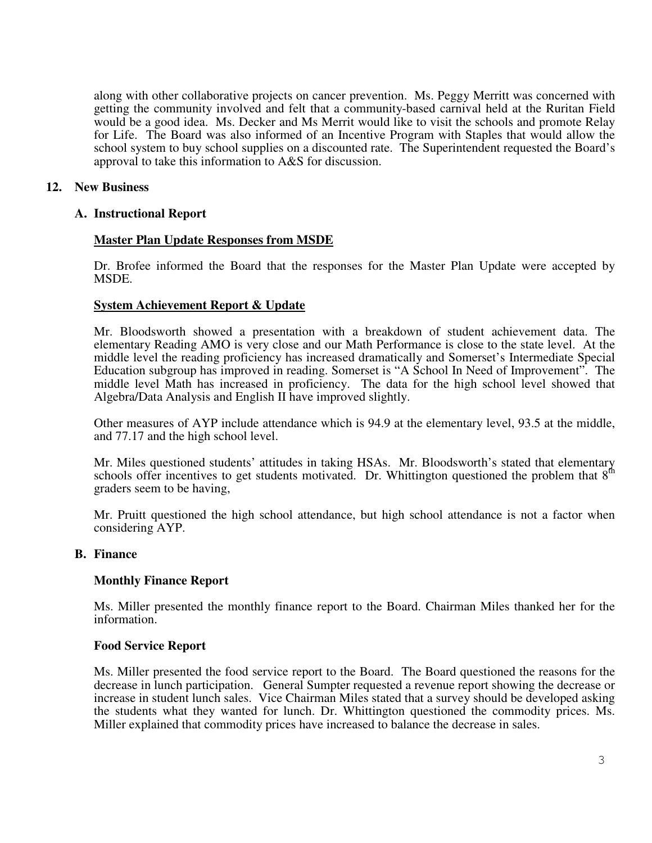along with other collaborative projects on cancer prevention. Ms. Peggy Merritt was concerned with getting the community involved and felt that a community-based carnival held at the Ruritan Field would be a good idea. Ms. Decker and Ms Merrit would like to visit the schools and promote Relay for Life. The Board was also informed of an Incentive Program with Staples that would allow the school system to buy school supplies on a discounted rate. The Superintendent requested the Board's approval to take this information to A&S for discussion.

# **12. New Business**

# **A. Instructional Report**

# **Master Plan Update Responses from MSDE**

Dr. Brofee informed the Board that the responses for the Master Plan Update were accepted by MSDE.

# **System Achievement Report & Update**

Mr. Bloodsworth showed a presentation with a breakdown of student achievement data. The elementary Reading AMO is very close and our Math Performance is close to the state level. At the middle level the reading proficiency has increased dramatically and Somerset's Intermediate Special Education subgroup has improved in reading. Somerset is "A School In Need of Improvement". The middle level Math has increased in proficiency. The data for the high school level showed that Algebra/Data Analysis and English II have improved slightly.

Other measures of AYP include attendance which is 94.9 at the elementary level, 93.5 at the middle, and 77.17 and the high school level.

Mr. Miles questioned students' attitudes in taking HSAs. Mr. Bloodsworth's stated that elementary schools offer incentives to get students motivated. Dr. Whittington questioned the problem that  $8<sup>th</sup>$ graders seem to be having,

Mr. Pruitt questioned the high school attendance, but high school attendance is not a factor when considering AYP.

# **B. Finance**

# **Monthly Finance Report**

Ms. Miller presented the monthly finance report to the Board. Chairman Miles thanked her for the information.

# **Food Service Report**

Ms. Miller presented the food service report to the Board. The Board questioned the reasons for the decrease in lunch participation. General Sumpter requested a revenue report showing the decrease or increase in student lunch sales. Vice Chairman Miles stated that a survey should be developed asking the students what they wanted for lunch. Dr. Whittington questioned the commodity prices. Ms. Miller explained that commodity prices have increased to balance the decrease in sales.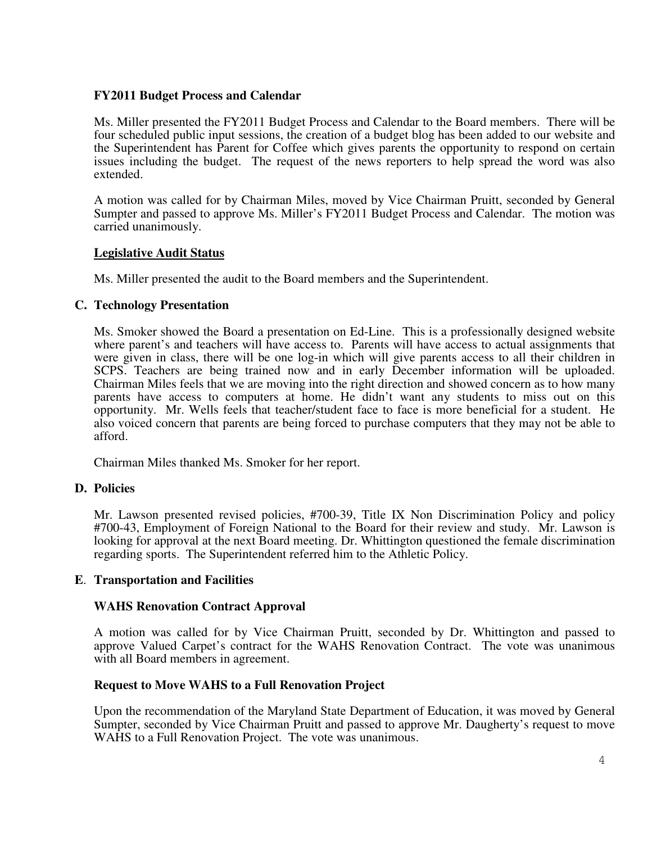# **FY2011 Budget Process and Calendar**

Ms. Miller presented the FY2011 Budget Process and Calendar to the Board members. There will be four scheduled public input sessions, the creation of a budget blog has been added to our website and the Superintendent has Parent for Coffee which gives parents the opportunity to respond on certain issues including the budget. The request of the news reporters to help spread the word was also extended.

A motion was called for by Chairman Miles, moved by Vice Chairman Pruitt, seconded by General Sumpter and passed to approve Ms. Miller's FY2011 Budget Process and Calendar. The motion was carried unanimously.

# **Legislative Audit Status**

Ms. Miller presented the audit to the Board members and the Superintendent.

# **C. Technology Presentation**

Ms. Smoker showed the Board a presentation on Ed-Line. This is a professionally designed website where parent's and teachers will have access to. Parents will have access to actual assignments that were given in class, there will be one log-in which will give parents access to all their children in SCPS. Teachers are being trained now and in early December information will be uploaded. Chairman Miles feels that we are moving into the right direction and showed concern as to how many parents have access to computers at home. He didn't want any students to miss out on this opportunity. Mr. Wells feels that teacher/student face to face is more beneficial for a student. He also voiced concern that parents are being forced to purchase computers that they may not be able to afford.

Chairman Miles thanked Ms. Smoker for her report.

# **D. Policies**

Mr. Lawson presented revised policies, #700-39, Title IX Non Discrimination Policy and policy #700-43, Employment of Foreign National to the Board for their review and study. Mr. Lawson is looking for approval at the next Board meeting. Dr. Whittington questioned the female discrimination regarding sports. The Superintendent referred him to the Athletic Policy.

# **E**. **Transportation and Facilities**

# **WAHS Renovation Contract Approval**

A motion was called for by Vice Chairman Pruitt, seconded by Dr. Whittington and passed to approve Valued Carpet's contract for the WAHS Renovation Contract. The vote was unanimous with all Board members in agreement.

# **Request to Move WAHS to a Full Renovation Project**

Upon the recommendation of the Maryland State Department of Education, it was moved by General Sumpter, seconded by Vice Chairman Pruitt and passed to approve Mr. Daugherty's request to move WAHS to a Full Renovation Project. The vote was unanimous.